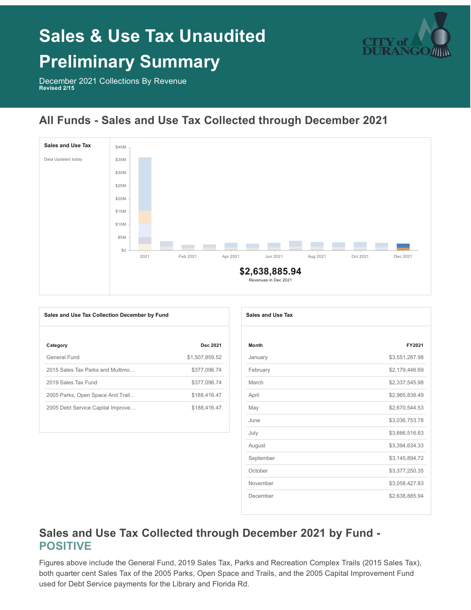# **Sales & Use Tax Unaudited**



## **Preliminary Summary**

December 2021 Collections By Revenue **Revised 2/15**

### **All Funds - Sales and Use Tax Collected through December 2021**



| Sales and Use Tax Collection December by Fund |                | Sales and Use Tax |
|-----------------------------------------------|----------------|-------------------|
| Category                                      | Dec 2021       | <b>Month</b>      |
| General Fund                                  | \$1,507,859.52 | January           |
| 2015 Sales Tax Parks and Multimo              | \$377,096.74   | February          |
| 2019 Sales Tax Fund                           | \$377,096.74   | March             |
| 2005 Parks, Open Space And Trail              | \$188,416.47   | April             |
| 2005 Debt Service Capital Improve             | \$188,416.47   | May               |
|                                               |                | June              |

| <b>Sales and Use Tax</b> |                |
|--------------------------|----------------|
|                          |                |
| <b>Month</b>             | FY2021         |
| January                  | \$3,551,287.98 |
| February                 | \$2,179,446.69 |
| March                    | \$2,337,545.98 |
| April                    | \$2,965,838.49 |
| May                      | \$2,670,544.53 |
| June                     | \$3,036,753.78 |
| July                     | \$3,666,516.63 |
| August                   | \$3,394,634.33 |
| September                | \$3,145,894.72 |
| October                  | \$3,377,250.35 |
| November                 | \$3,058,427.83 |
| December                 | \$2,638,885.94 |

#### **Sales and Use Tax Collected through December 2021 by Fund - POSITIVE**

Figures above include the General Fund, 2019 Sales Tax, Parks and Recreation Complex Trails (2015 Sales Tax), both quarter cent Sales Tax of the 2005 Parks, Open Space and Trails, and the 2005 Capital Improvement Fund used for Debt Service payments for the Library and Florida Rd.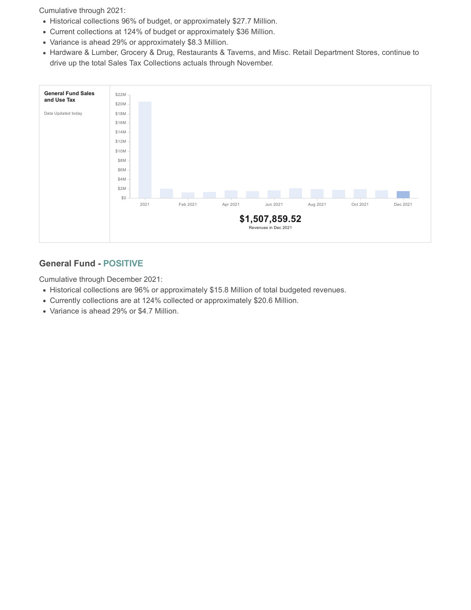Cumulative through 2021:

- Historical collections 96% of budget, or approximately \$27.7 Million.
- Current collections at 124% of budget or approximately \$36 Million.
- Variance is ahead 29% or approximately \$8.3 Million.
- Hardware & Lumber, Grocery & Drug, Restaurants & Taverns, and Misc. Retail Department Stores, continue to drive up the total Sales Tax Collections actuals through November.



#### **General Fund - POSITIVE**

Cumulative through December 2021:

- Historical collections are 96% or approximately \$15.8 Million of total budgeted revenues.
- Currently collections are at 124% collected or approximately \$20.6 Million.
- Variance is ahead 29% or \$4.7 Million.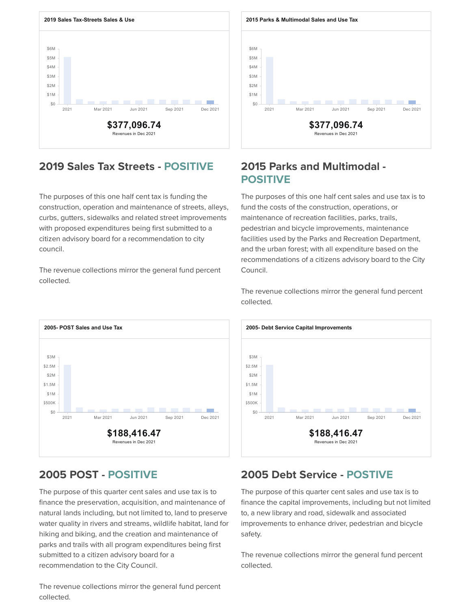

#### **2019 Sales Tax Streets - POSITIVE 2015 Parks and Multimodal -**

The purposes of this one half cent tax is funding the construction, operation and maintenance of streets, alleys, curbs, gutters, sidewalks and related street improvements with proposed expenditures being first submitted to a citizen advisory board for a recommendation to city council.

The revenue collections mirror the general fund percent collected.



The purpose of this quarter cent sales and use tax is to finance the preservation, acquisition, and maintenance of natural lands including, but not limited to, land to preserve water quality in rivers and streams, wildlife habitat, land for hiking and biking, and the creation and maintenance of parks and trails with all program expenditures being first submitted to a citizen advisory board for a recommendation to the City Council.

\$6M \$5M \$4M \$3M \$2M \$1M **Contract** \$0 2021 Mar 2021 Jun 2021 Sep 2021 Dec 2021 **\$377,096.74** Revenues in Dec 2021

## **POSITIVE**

The purposes of this one half cent sales and use tax is to fund the costs of the construction, operations, or maintenance of recreation facilities, parks, trails, pedestrian and bicycle improvements, maintenance facilities used by the Parks and Recreation Department, and the urban forest; with all expenditure based on the recommendations of a citizens advisory board to the City Council.

The revenue collections mirror the general fund percent collected.



#### **2005 POST - POSITIVE 2005 Debt Service - POSTIVE**

The purpose of this quarter cent sales and use tax is to finance the capital improvements, including but not limited to, a new library and road, sidewalk and associated improvements to enhance driver, pedestrian and bicycle safety.

The revenue collections mirror the general fund percent collected.

The revenue collections mirror the general fund percent collected.